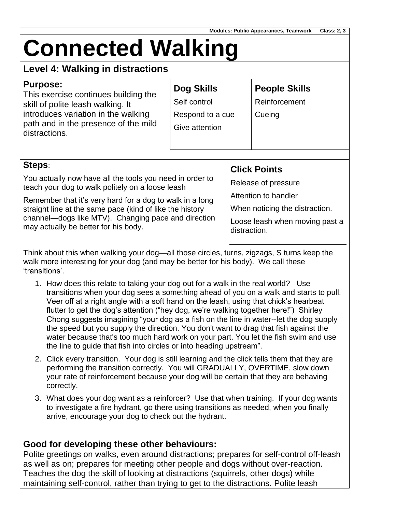# **Connected Walking**

# **Level 4: Walking in distractions**

| <b>Purpose:</b><br>This exercise continues building the<br>skill of polite leash walking. It<br>introduces variation in the walking<br>path and in the presence of the mild<br>distractions.                                                                                                                                                  | <b>Dog Skills</b><br>Self control<br>Respond to a cue<br>Give attention |                                                                                                                                                        | <b>People Skills</b><br>Reinforcement<br>Cueing |
|-----------------------------------------------------------------------------------------------------------------------------------------------------------------------------------------------------------------------------------------------------------------------------------------------------------------------------------------------|-------------------------------------------------------------------------|--------------------------------------------------------------------------------------------------------------------------------------------------------|-------------------------------------------------|
| Steps:<br>You actually now have all the tools you need in order to<br>teach your dog to walk politely on a loose leash<br>Remember that it's very hard for a dog to walk in a long<br>straight line at the same pace (kind of like the history<br>channel—dogs like MTV). Changing pace and direction<br>may actually be better for his body. |                                                                         | <b>Click Points</b><br>Release of pressure<br>Attention to handler<br>When noticing the distraction.<br>Loose leash when moving past a<br>distraction. |                                                 |

Think about this when walking your dog—all those circles, turns, zigzags, S turns keep the walk more interesting for your dog (and may be better for his body). We call these 'transitions'.

- 1. How does this relate to taking your dog out for a walk in the real world? Use transitions when your dog sees a something ahead of you on a walk and starts to pull. Veer off at a right angle with a soft hand on the leash, using that chick's hearbeat flutter to get the dog's attention ("hey dog, we're walking together here!") Shirley Chong suggests imagining "your dog as a fish on the line in water--let the dog supply the speed but you supply the direction. You don't want to drag that fish against the water because that's too much hard work on your part. You let the fish swim and use the line to guide that fish into circles or into heading upstream".
- 2. Click every transition. Your dog is still learning and the click tells them that they are performing the transition correctly. You will GRADUALLY, OVERTIME, slow down your rate of reinforcement because your dog will be certain that they are behaving correctly.
- 3. What does your dog want as a reinforcer? Use that when training. If your dog wants to investigate a fire hydrant, go there using transitions as needed, when you finally arrive, encourage your dog to check out the hydrant.

### **Good for developing these other behaviours:**

Polite greetings on walks, even around distractions; prepares for self-control off-leash as well as on; prepares for meeting other people and dogs without over-reaction. Teaches the dog the skill of looking at distractions (squirrels, other dogs) while maintaining self-control, rather than trying to get to the distractions. Polite leash